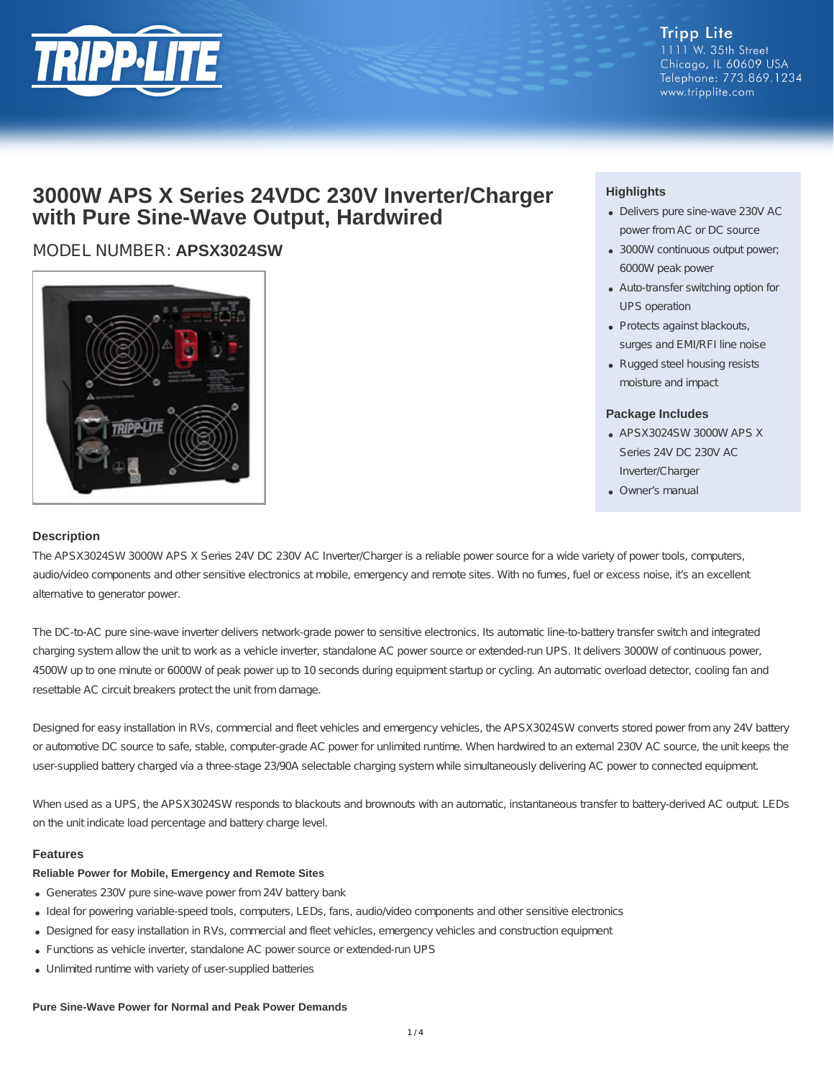

## **3000W APS X Series 24VDC 230V Inverter/Charger with Pure Sine-Wave Output, Hardwired**

## MODEL NUMBER: **APSX3024SW**



### **Highlights**

- Delivers pure sine-wave 230V AC power from AC or DC source
- 3000W continuous output power; 6000W peak power
- Auto-transfer switching option for UPS operation
- Protects against blackouts, surges and EMI/RFI line noise
- Rugged steel housing resists moisture and impact

#### **Package Includes**

- APSX3024SW 3000W APS X Series 24V DC 230V AC Inverter/Charger
- Owner's manual

#### **Description**

The APSX3024SW 3000W APS X Series 24V DC 230V AC Inverter/Charger is a reliable power source for a wide variety of power tools, computers, audio/video components and other sensitive electronics at mobile, emergency and remote sites. With no fumes, fuel or excess noise, it's an excellent alternative to generator power.

The DC-to-AC pure sine-wave inverter delivers network-grade power to sensitive electronics. Its automatic line-to-battery transfer switch and integrated charging system allow the unit to work as a vehicle inverter, standalone AC power source or extended-run UPS. It delivers 3000W of continuous power, 4500W up to one minute or 6000W of peak power up to 10 seconds during equipment startup or cycling. An automatic overload detector, cooling fan and resettable AC circuit breakers protect the unit from damage.

Designed for easy installation in RVs, commercial and fleet vehicles and emergency vehicles, the APSX3024SW converts stored power from any 24V battery or automotive DC source to safe, stable, computer-grade AC power for unlimited runtime. When hardwired to an external 230V AC source, the unit keeps the user-supplied battery charged via a three-stage 23/90A selectable charging system while simultaneously delivering AC power to connected equipment.

When used as a UPS, the APSX3024SW responds to blackouts and brownouts with an automatic, instantaneous transfer to battery-derived AC output. LEDs on the unit indicate load percentage and battery charge level.

#### **Features**

#### **Reliable Power for Mobile, Emergency and Remote Sites**

- Generates 230V pure sine-wave power from 24V battery bank
- Ideal for powering variable-speed tools, computers, LEDs, fans, audio/video components and other sensitive electronics
- Designed for easy installation in RVs, commercial and fleet vehicles, emergency vehicles and construction equipment
- Functions as vehicle inverter, standalone AC power source or extended-run UPS
- Unlimited runtime with variety of user-supplied batteries

#### **Pure Sine-Wave Power for Normal and Peak Power Demands**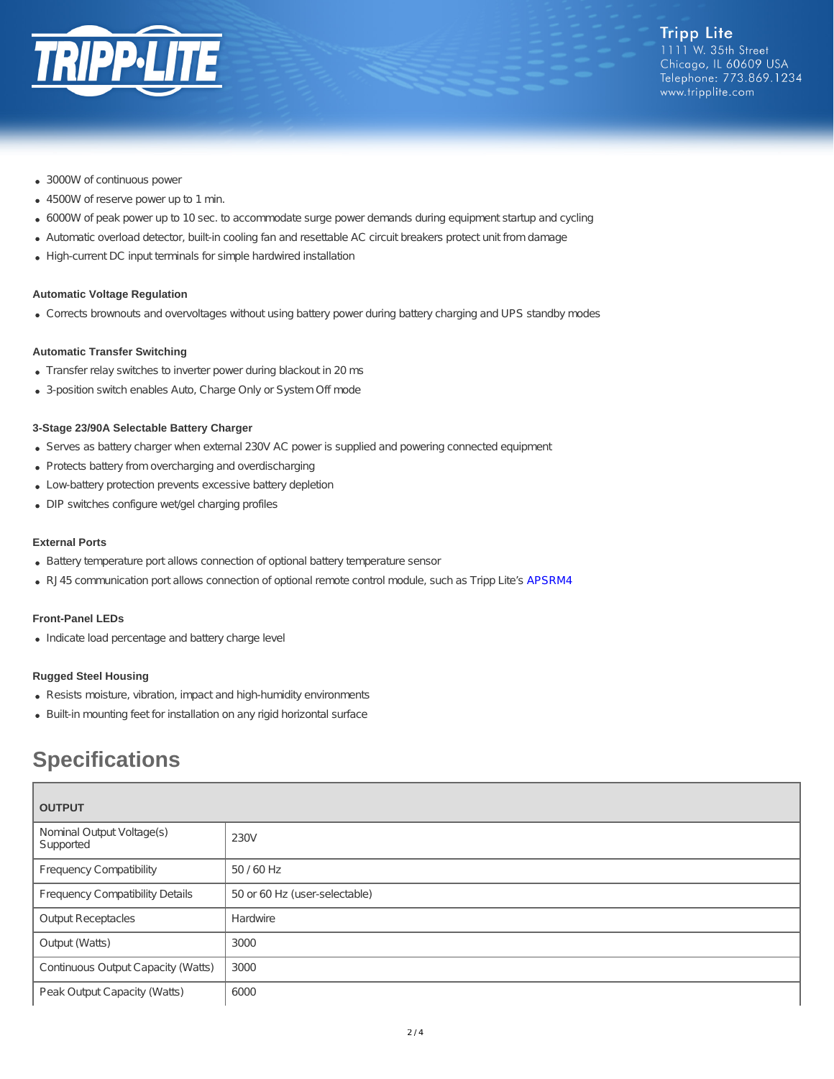

- 3000W of continuous power
- 4500W of reserve power up to 1 min.
- 6000W of peak power up to 10 sec. to accommodate surge power demands during equipment startup and cycling
- Automatic overload detector, built-in cooling fan and resettable AC circuit breakers protect unit from damage
- High-current DC input terminals for simple hardwired installation

#### **Automatic Voltage Regulation**

Corrects brownouts and overvoltages without using battery power during battery charging and UPS standby modes

#### **Automatic Transfer Switching**

- Transfer relay switches to inverter power during blackout in 20 ms
- 3-position switch enables Auto, Charge Only or System Off mode

#### **3-Stage 23/90A Selectable Battery Charger**

- Serves as battery charger when external 230V AC power is supplied and powering connected equipment
- Protects battery from overcharging and overdischarging
- Low-battery protection prevents excessive battery depletion
- DIP switches configure wet/gel charging profiles

#### **External Ports**

- Battery temperature port allows connection of optional battery temperature sensor
- RJ45 communication port allows connection of optional remote control module, such as Tripp Lite's [APSRM4](http://www.tripplite.com/Remote-Control-Module-Tripp-Lite-PowerVerter-Inverters-Inverter-Chargers~APSRM4)

#### **Front-Panel LEDs**

• Indicate load percentage and battery charge level

#### **Rugged Steel Housing**

- Resists moisture, vibration, impact and high-humidity environments
- Built-in mounting feet for installation on any rigid horizontal surface

# **Specifications**

| <b>OUTPUT</b>                          |                               |  |
|----------------------------------------|-------------------------------|--|
| Nominal Output Voltage(s)<br>Supported | 230V                          |  |
| <b>Frequency Compatibility</b>         | 50 / 60 Hz                    |  |
| <b>Frequency Compatibility Details</b> | 50 or 60 Hz (user-selectable) |  |
| <b>Output Receptacles</b>              | Hardwire                      |  |
| Output (Watts)                         | 3000                          |  |
| Continuous Output Capacity (Watts)     | 3000                          |  |
| Peak Output Capacity (Watts)           | 6000                          |  |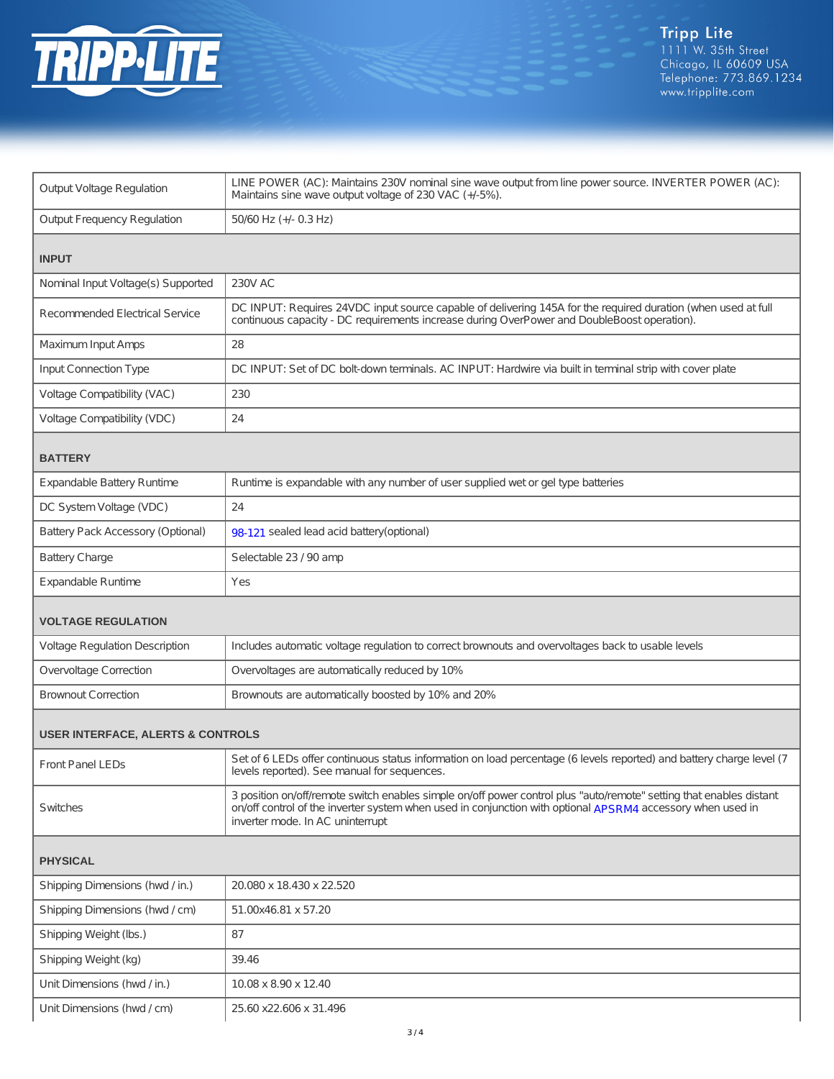

| <b>Output Voltage Regulation</b>             | LINE POWER (AC): Maintains 230V nominal sine wave output from line power source. INVERTER POWER (AC):<br>Maintains sine wave output voltage of 230 VAC (+/-5%).                                                                                                       |  |
|----------------------------------------------|-----------------------------------------------------------------------------------------------------------------------------------------------------------------------------------------------------------------------------------------------------------------------|--|
| <b>Output Frequency Regulation</b>           | 50/60 Hz (+/- 0.3 Hz)                                                                                                                                                                                                                                                 |  |
|                                              |                                                                                                                                                                                                                                                                       |  |
| <b>INPUT</b>                                 |                                                                                                                                                                                                                                                                       |  |
| Nominal Input Voltage(s) Supported           | <b>230V AC</b>                                                                                                                                                                                                                                                        |  |
| <b>Recommended Electrical Service</b>        | DC INPUT: Requires 24VDC input source capable of delivering 145A for the required duration (when used at full<br>continuous capacity - DC requirements increase during OverPower and DoubleBoost operation).                                                          |  |
| Maximum Input Amps                           | 28                                                                                                                                                                                                                                                                    |  |
| Input Connection Type                        | DC INPUT: Set of DC bolt-down terminals. AC INPUT: Hardwire via built in terminal strip with cover plate                                                                                                                                                              |  |
| Voltage Compatibility (VAC)                  | 230                                                                                                                                                                                                                                                                   |  |
| Voltage Compatibility (VDC)                  | 24                                                                                                                                                                                                                                                                    |  |
| <b>BATTERY</b>                               |                                                                                                                                                                                                                                                                       |  |
| <b>Expandable Battery Runtime</b>            | Runtime is expandable with any number of user supplied wet or gel type batteries                                                                                                                                                                                      |  |
| DC System Voltage (VDC)                      | 24                                                                                                                                                                                                                                                                    |  |
| Battery Pack Accessory (Optional)            | 98-121 sealed lead acid battery (optional)                                                                                                                                                                                                                            |  |
| <b>Battery Charge</b>                        | Selectable 23 / 90 amp                                                                                                                                                                                                                                                |  |
| <b>Expandable Runtime</b>                    | Yes                                                                                                                                                                                                                                                                   |  |
| <b>VOLTAGE REGULATION</b>                    |                                                                                                                                                                                                                                                                       |  |
| Voltage Regulation Description               | Includes automatic voltage regulation to correct brownouts and overvoltages back to usable levels                                                                                                                                                                     |  |
| Overvoltage Correction                       | Overvoltages are automatically reduced by 10%                                                                                                                                                                                                                         |  |
| <b>Brownout Correction</b>                   | Brownouts are automatically boosted by 10% and 20%                                                                                                                                                                                                                    |  |
|                                              |                                                                                                                                                                                                                                                                       |  |
| <b>USER INTERFACE, ALERTS &amp; CONTROLS</b> |                                                                                                                                                                                                                                                                       |  |
| <b>Front Panel LEDs</b>                      | Set of 6 LEDs offer continuous status information on load percentage (6 levels reported) and battery charge level (7<br>levels reported). See manual for sequences.                                                                                                   |  |
| Switches                                     | 3 position on/off/remote switch enables simple on/off power control plus "auto/remote" setting that enables distant<br>on/off control of the inverter system when used in conjunction with optional APSRM4 accessory when used in<br>inverter mode. In AC uninterrupt |  |
| <b>PHYSICAL</b>                              |                                                                                                                                                                                                                                                                       |  |
| Shipping Dimensions (hwd / in.)              | 20.080 x 18.430 x 22.520                                                                                                                                                                                                                                              |  |
| Shipping Dimensions (hwd / cm)               | 51.00x46.81 x 57.20                                                                                                                                                                                                                                                   |  |
| Shipping Weight (lbs.)                       | 87                                                                                                                                                                                                                                                                    |  |
| Shipping Weight (kg)                         | 39.46                                                                                                                                                                                                                                                                 |  |
| Unit Dimensions (hwd / in.)                  | 10.08 x 8.90 x 12.40                                                                                                                                                                                                                                                  |  |